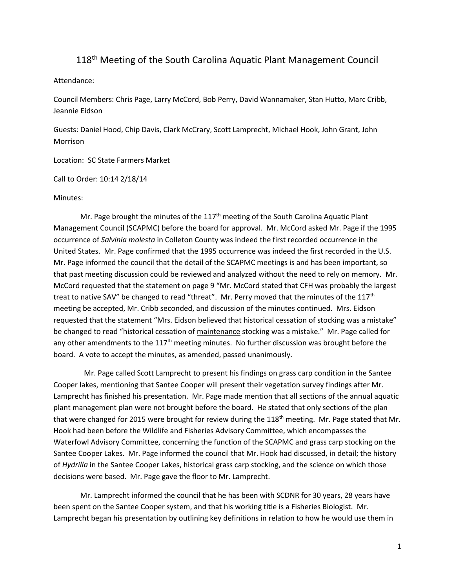## 118<sup>th</sup> Meeting of the South Carolina Aquatic Plant Management Council

Attendance:

Council Members: Chris Page, Larry McCord, Bob Perry, David Wannamaker, Stan Hutto, Marc Cribb, Jeannie Eidson

Guests: Daniel Hood, Chip Davis, Clark McCrary, Scott Lamprecht, Michael Hook, John Grant, John Morrison

Location: SC State Farmers Market

Call to Order: 10:14 2/18/14

## Minutes:

Mr. Page brought the minutes of the  $117<sup>th</sup>$  meeting of the South Carolina Aquatic Plant Management Council (SCAPMC) before the board for approval. Mr. McCord asked Mr. Page if the 1995 occurrence of *Salvinia molesta* in Colleton County was indeed the first recorded occurrence in the United States. Mr. Page confirmed that the 1995 occurrence was indeed the first recorded in the U.S. Mr. Page informed the council that the detail of the SCAPMC meetings is and has been important, so that past meeting discussion could be reviewed and analyzed without the need to rely on memory. Mr. McCord requested that the statement on page 9 "Mr. McCord stated that CFH was probably the largest treat to native SAV" be changed to read "threat". Mr. Perry moved that the minutes of the 117<sup>th</sup> meeting be accepted, Mr. Cribb seconded, and discussion of the minutes continued. Mrs. Eidson requested that the statement "Mrs. Eidson believed that historical cessation of stocking was a mistake" be changed to read "historical cessation of maintenance stocking was a mistake." Mr. Page called for any other amendments to the 117<sup>th</sup> meeting minutes. No further discussion was brought before the board. A vote to accept the minutes, as amended, passed unanimously.

 Mr. Page called Scott Lamprecht to present his findings on grass carp condition in the Santee Cooper lakes, mentioning that Santee Cooper will present their vegetation survey findings after Mr. Lamprecht has finished his presentation. Mr. Page made mention that all sections of the annual aquatic plant management plan were not brought before the board. He stated that only sections of the plan that were changed for 2015 were brought for review during the 118<sup>th</sup> meeting. Mr. Page stated that Mr. Hook had been before the Wildlife and Fisheries Advisory Committee, which encompasses the Waterfowl Advisory Committee, concerning the function of the SCAPMC and grass carp stocking on the Santee Cooper Lakes. Mr. Page informed the council that Mr. Hook had discussed, in detail; the history of *Hydrilla* in the Santee Cooper Lakes, historical grass carp stocking, and the science on which those decisions were based. Mr. Page gave the floor to Mr. Lamprecht.

Mr. Lamprecht informed the council that he has been with SCDNR for 30 years, 28 years have been spent on the Santee Cooper system, and that his working title is a Fisheries Biologist. Mr. Lamprecht began his presentation by outlining key definitions in relation to how he would use them in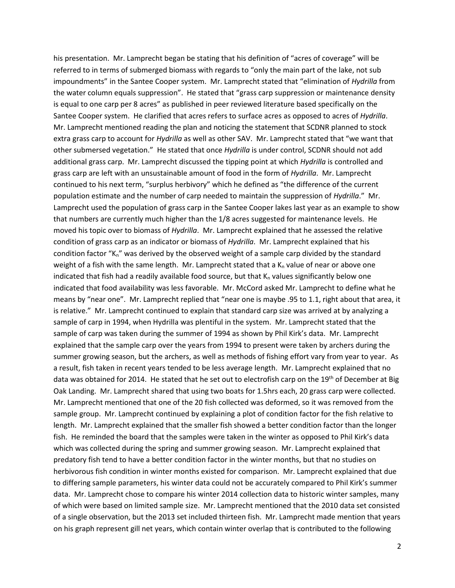his presentation. Mr. Lamprecht began be stating that his definition of "acres of coverage" will be referred to in terms of submerged biomass with regards to "only the main part of the lake, not sub impoundments" in the Santee Cooper system. Mr. Lamprecht stated that "elimination of *Hydrilla* from the water column equals suppression". He stated that "grass carp suppression or maintenance density is equal to one carp per 8 acres" as published in peer reviewed literature based specifically on the Santee Cooper system. He clarified that acres refers to surface acres as opposed to acres of *Hydrilla*. Mr. Lamprecht mentioned reading the plan and noticing the statement that SCDNR planned to stock extra grass carp to account for *Hydrilla* as well as other SAV. Mr. Lamprecht stated that "we want that other submersed vegetation." He stated that once *Hydrilla* is under control, SCDNR should not add additional grass carp. Mr. Lamprecht discussed the tipping point at which *Hydrilla* is controlled and grass carp are left with an unsustainable amount of food in the form of *Hydrilla*. Mr. Lamprecht continued to his next term, "surplus herbivory" which he defined as "the difference of the current population estimate and the number of carp needed to maintain the suppression of *Hydrilla*." Mr. Lamprecht used the population of grass carp in the Santee Cooper lakes last year as an example to show that numbers are currently much higher than the 1/8 acres suggested for maintenance levels. He moved his topic over to biomass of *Hydrilla*. Mr. Lamprecht explained that he assessed the relative condition of grass carp as an indicator or biomass of *Hydrilla*. Mr. Lamprecht explained that his condition factor "K<sub>n</sub>" was derived by the observed weight of a sample carp divided by the standard weight of a fish with the same length. Mr. Lamprecht stated that a  $K_n$  value of near or above one indicated that fish had a readily available food source, but that  $K_n$  values significantly below one indicated that food availability was less favorable. Mr. McCord asked Mr. Lamprecht to define what he means by "near one". Mr. Lamprecht replied that "near one is maybe .95 to 1.1, right about that area, it is relative." Mr. Lamprecht continued to explain that standard carp size was arrived at by analyzing a sample of carp in 1994, when Hydrilla was plentiful in the system. Mr. Lamprecht stated that the sample of carp was taken during the summer of 1994 as shown by Phil Kirk's data. Mr. Lamprecht explained that the sample carp over the years from 1994 to present were taken by archers during the summer growing season, but the archers, as well as methods of fishing effort vary from year to year. As a result, fish taken in recent years tended to be less average length. Mr. Lamprecht explained that no data was obtained for 2014. He stated that he set out to electrofish carp on the 19<sup>th</sup> of December at Big Oak Landing. Mr. Lamprecht shared that using two boats for 1.5hrs each, 20 grass carp were collected. Mr. Lamprecht mentioned that one of the 20 fish collected was deformed, so it was removed from the sample group. Mr. Lamprecht continued by explaining a plot of condition factor for the fish relative to length. Mr. Lamprecht explained that the smaller fish showed a better condition factor than the longer fish. He reminded the board that the samples were taken in the winter as opposed to Phil Kirk's data which was collected during the spring and summer growing season. Mr. Lamprecht explained that predatory fish tend to have a better condition factor in the winter months, but that no studies on herbivorous fish condition in winter months existed for comparison. Mr. Lamprecht explained that due to differing sample parameters, his winter data could not be accurately compared to Phil Kirk's summer data. Mr. Lamprecht chose to compare his winter 2014 collection data to historic winter samples, many of which were based on limited sample size. Mr. Lamprecht mentioned that the 2010 data set consisted of a single observation, but the 2013 set included thirteen fish. Mr. Lamprecht made mention that years on his graph represent gill net years, which contain winter overlap that is contributed to the following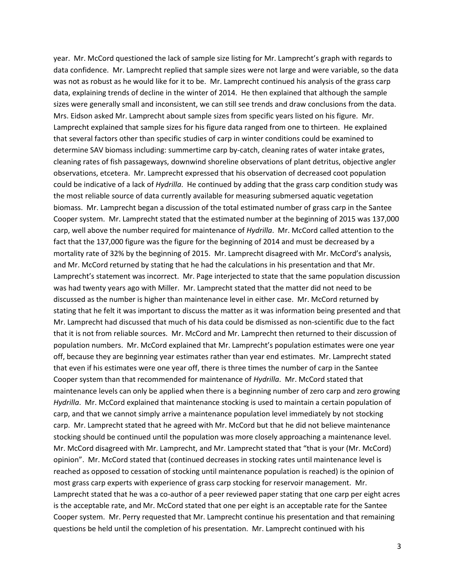year. Mr. McCord questioned the lack of sample size listing for Mr. Lamprecht's graph with regards to data confidence. Mr. Lamprecht replied that sample sizes were not large and were variable, so the data was not as robust as he would like for it to be. Mr. Lamprecht continued his analysis of the grass carp data, explaining trends of decline in the winter of 2014. He then explained that although the sample sizes were generally small and inconsistent, we can still see trends and draw conclusions from the data. Mrs. Eidson asked Mr. Lamprecht about sample sizes from specific years listed on his figure. Mr. Lamprecht explained that sample sizes for his figure data ranged from one to thirteen. He explained that several factors other than specific studies of carp in winter conditions could be examined to determine SAV biomass including: summertime carp by-catch, cleaning rates of water intake grates, cleaning rates of fish passageways, downwind shoreline observations of plant detritus, objective angler observations, etcetera. Mr. Lamprecht expressed that his observation of decreased coot population could be indicative of a lack of *Hydrilla*. He continued by adding that the grass carp condition study was the most reliable source of data currently available for measuring submersed aquatic vegetation biomass. Mr. Lamprecht began a discussion of the total estimated number of grass carp in the Santee Cooper system. Mr. Lamprecht stated that the estimated number at the beginning of 2015 was 137,000 carp, well above the number required for maintenance of *Hydrilla*. Mr. McCord called attention to the fact that the 137,000 figure was the figure for the beginning of 2014 and must be decreased by a mortality rate of 32% by the beginning of 2015. Mr. Lamprecht disagreed with Mr. McCord's analysis, and Mr. McCord returned by stating that he had the calculations in his presentation and that Mr. Lamprecht's statement was incorrect. Mr. Page interjected to state that the same population discussion was had twenty years ago with Miller. Mr. Lamprecht stated that the matter did not need to be discussed as the number is higher than maintenance level in either case. Mr. McCord returned by stating that he felt it was important to discuss the matter as it was information being presented and that Mr. Lamprecht had discussed that much of his data could be dismissed as non-scientific due to the fact that it is not from reliable sources. Mr. McCord and Mr. Lamprecht then returned to their discussion of population numbers. Mr. McCord explained that Mr. Lamprecht's population estimates were one year off, because they are beginning year estimates rather than year end estimates. Mr. Lamprecht stated that even if his estimates were one year off, there is three times the number of carp in the Santee Cooper system than that recommended for maintenance of *Hydrilla*. Mr. McCord stated that maintenance levels can only be applied when there is a beginning number of zero carp and zero growing *Hydrilla*. Mr. McCord explained that maintenance stocking is used to maintain a certain population of carp, and that we cannot simply arrive a maintenance population level immediately by not stocking carp. Mr. Lamprecht stated that he agreed with Mr. McCord but that he did not believe maintenance stocking should be continued until the population was more closely approaching a maintenance level. Mr. McCord disagreed with Mr. Lamprecht, and Mr. Lamprecht stated that "that is your (Mr. McCord) opinion". Mr. McCord stated that (continued decreases in stocking rates until maintenance level is reached as opposed to cessation of stocking until maintenance population is reached) is the opinion of most grass carp experts with experience of grass carp stocking for reservoir management. Mr. Lamprecht stated that he was a co-author of a peer reviewed paper stating that one carp per eight acres is the acceptable rate, and Mr. McCord stated that one per eight is an acceptable rate for the Santee Cooper system. Mr. Perry requested that Mr. Lamprecht continue his presentation and that remaining questions be held until the completion of his presentation. Mr. Lamprecht continued with his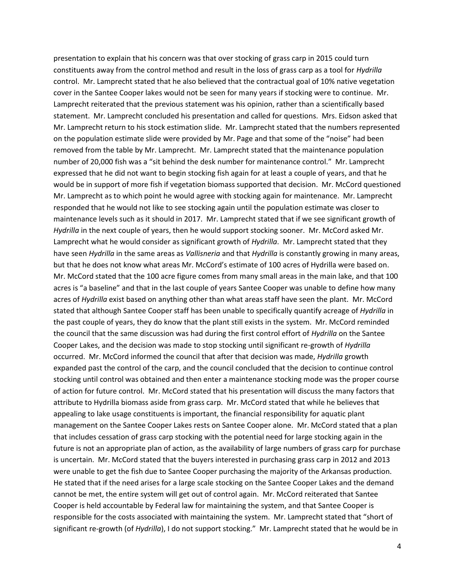presentation to explain that his concern was that over stocking of grass carp in 2015 could turn constituents away from the control method and result in the loss of grass carp as a tool for *Hydrilla* control. Mr. Lamprecht stated that he also believed that the contractual goal of 10% native vegetation cover in the Santee Cooper lakes would not be seen for many years if stocking were to continue. Mr. Lamprecht reiterated that the previous statement was his opinion, rather than a scientifically based statement. Mr. Lamprecht concluded his presentation and called for questions. Mrs. Eidson asked that Mr. Lamprecht return to his stock estimation slide. Mr. Lamprecht stated that the numbers represented on the population estimate slide were provided by Mr. Page and that some of the "noise" had been removed from the table by Mr. Lamprecht. Mr. Lamprecht stated that the maintenance population number of 20,000 fish was a "sit behind the desk number for maintenance control." Mr. Lamprecht expressed that he did not want to begin stocking fish again for at least a couple of years, and that he would be in support of more fish if vegetation biomass supported that decision. Mr. McCord questioned Mr. Lamprecht as to which point he would agree with stocking again for maintenance. Mr. Lamprecht responded that he would not like to see stocking again until the population estimate was closer to maintenance levels such as it should in 2017. Mr. Lamprecht stated that if we see significant growth of *Hydrilla* in the next couple of years, then he would support stocking sooner. Mr. McCord asked Mr. Lamprecht what he would consider as significant growth of *Hydrilla*. Mr. Lamprecht stated that they have seen *Hydrilla* in the same areas as *Vallisneria* and that *Hydrilla* is constantly growing in many areas, but that he does not know what areas Mr. McCord's estimate of 100 acres of Hydrilla were based on. Mr. McCord stated that the 100 acre figure comes from many small areas in the main lake, and that 100 acres is "a baseline" and that in the last couple of years Santee Cooper was unable to define how many acres of *Hydrilla* exist based on anything other than what areas staff have seen the plant. Mr. McCord stated that although Santee Cooper staff has been unable to specifically quantify acreage of *Hydrilla* in the past couple of years, they do know that the plant still exists in the system. Mr. McCord reminded the council that the same discussion was had during the first control effort of *Hydrilla* on the Santee Cooper Lakes, and the decision was made to stop stocking until significant re-growth of *Hydrilla* occurred. Mr. McCord informed the council that after that decision was made, *Hydrilla* growth expanded past the control of the carp, and the council concluded that the decision to continue control stocking until control was obtained and then enter a maintenance stocking mode was the proper course of action for future control. Mr. McCord stated that his presentation will discuss the many factors that attribute to Hydrilla biomass aside from grass carp. Mr. McCord stated that while he believes that appealing to lake usage constituents is important, the financial responsibility for aquatic plant management on the Santee Cooper Lakes rests on Santee Cooper alone. Mr. McCord stated that a plan that includes cessation of grass carp stocking with the potential need for large stocking again in the future is not an appropriate plan of action, as the availability of large numbers of grass carp for purchase is uncertain. Mr. McCord stated that the buyers interested in purchasing grass carp in 2012 and 2013 were unable to get the fish due to Santee Cooper purchasing the majority of the Arkansas production. He stated that if the need arises for a large scale stocking on the Santee Cooper Lakes and the demand cannot be met, the entire system will get out of control again. Mr. McCord reiterated that Santee Cooper is held accountable by Federal law for maintaining the system, and that Santee Cooper is responsible for the costs associated with maintaining the system. Mr. Lamprecht stated that "short of significant re-growth (of *Hydrilla*), I do not support stocking." Mr. Lamprecht stated that he would be in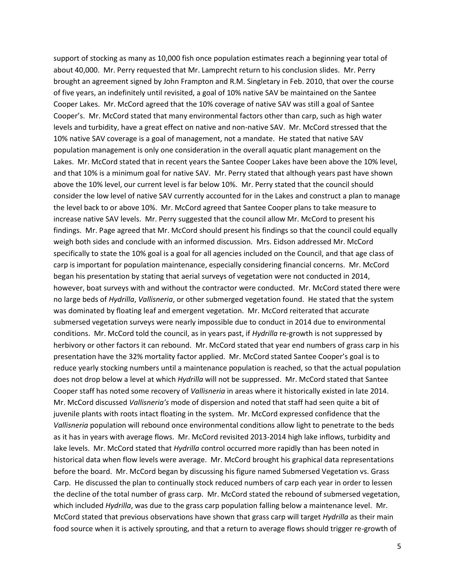support of stocking as many as 10,000 fish once population estimates reach a beginning year total of about 40,000. Mr. Perry requested that Mr. Lamprecht return to his conclusion slides. Mr. Perry brought an agreement signed by John Frampton and R.M. Singletary in Feb. 2010, that over the course of five years, an indefinitely until revisited, a goal of 10% native SAV be maintained on the Santee Cooper Lakes. Mr. McCord agreed that the 10% coverage of native SAV was still a goal of Santee Cooper's. Mr. McCord stated that many environmental factors other than carp, such as high water levels and turbidity, have a great effect on native and non-native SAV. Mr. McCord stressed that the 10% native SAV coverage is a goal of management, not a mandate. He stated that native SAV population management is only one consideration in the overall aquatic plant management on the Lakes. Mr. McCord stated that in recent years the Santee Cooper Lakes have been above the 10% level, and that 10% is a minimum goal for native SAV. Mr. Perry stated that although years past have shown above the 10% level, our current level is far below 10%. Mr. Perry stated that the council should consider the low level of native SAV currently accounted for in the Lakes and construct a plan to manage the level back to or above 10%. Mr. McCord agreed that Santee Cooper plans to take measure to increase native SAV levels. Mr. Perry suggested that the council allow Mr. McCord to present his findings. Mr. Page agreed that Mr. McCord should present his findings so that the council could equally weigh both sides and conclude with an informed discussion. Mrs. Eidson addressed Mr. McCord specifically to state the 10% goal is a goal for all agencies included on the Council, and that age class of carp is important for population maintenance, especially considering financial concerns. Mr. McCord began his presentation by stating that aerial surveys of vegetation were not conducted in 2014, however, boat surveys with and without the contractor were conducted. Mr. McCord stated there were no large beds of *Hydrilla*, *Vallisneria*, or other submerged vegetation found. He stated that the system was dominated by floating leaf and emergent vegetation. Mr. McCord reiterated that accurate submersed vegetation surveys were nearly impossible due to conduct in 2014 due to environmental conditions. Mr. McCord told the council, as in years past, if *Hydrilla* re-growth is not suppressed by herbivory or other factors it can rebound. Mr. McCord stated that year end numbers of grass carp in his presentation have the 32% mortality factor applied. Mr. McCord stated Santee Cooper's goal is to reduce yearly stocking numbers until a maintenance population is reached, so that the actual population does not drop below a level at which *Hydrilla* will not be suppressed. Mr. McCord stated that Santee Cooper staff has noted some recovery of *Vallisneria* in areas where it historically existed in late 2014. Mr. McCord discussed *Vallisneria's* mode of dispersion and noted that staff had seen quite a bit of juvenile plants with roots intact floating in the system. Mr. McCord expressed confidence that the *Vallisneria* population will rebound once environmental conditions allow light to penetrate to the beds as it has in years with average flows. Mr. McCord revisited 2013-2014 high lake inflows, turbidity and lake levels. Mr. McCord stated that *Hydrilla* control occurred more rapidly than has been noted in historical data when flow levels were average. Mr. McCord brought his graphical data representations before the board. Mr. McCord began by discussing his figure named Submersed Vegetation vs. Grass Carp. He discussed the plan to continually stock reduced numbers of carp each year in order to lessen the decline of the total number of grass carp. Mr. McCord stated the rebound of submersed vegetation, which included *Hydrilla*, was due to the grass carp population falling below a maintenance level. Mr. McCord stated that previous observations have shown that grass carp will target *Hydrilla* as their main food source when it is actively sprouting, and that a return to average flows should trigger re-growth of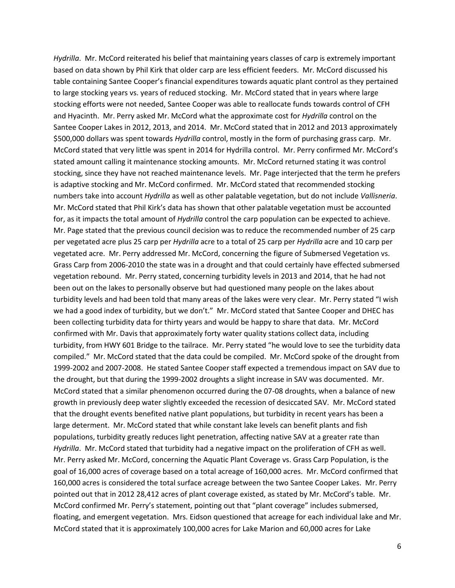*Hydrilla*. Mr. McCord reiterated his belief that maintaining years classes of carp is extremely important based on data shown by Phil Kirk that older carp are less efficient feeders. Mr. McCord discussed his table containing Santee Cooper's financial expenditures towards aquatic plant control as they pertained to large stocking years vs. years of reduced stocking. Mr. McCord stated that in years where large stocking efforts were not needed, Santee Cooper was able to reallocate funds towards control of CFH and Hyacinth. Mr. Perry asked Mr. McCord what the approximate cost for *Hydrilla* control on the Santee Cooper Lakes in 2012, 2013, and 2014. Mr. McCord stated that in 2012 and 2013 approximately \$500,000 dollars was spent towards *Hydrilla* control, mostly in the form of purchasing grass carp. Mr. McCord stated that very little was spent in 2014 for Hydrilla control. Mr. Perry confirmed Mr. McCord's stated amount calling it maintenance stocking amounts. Mr. McCord returned stating it was control stocking, since they have not reached maintenance levels. Mr. Page interjected that the term he prefers is adaptive stocking and Mr. McCord confirmed. Mr. McCord stated that recommended stocking numbers take into account *Hydrilla* as well as other palatable vegetation, but do not include *Vallisneria*. Mr. McCord stated that Phil Kirk's data has shown that other palatable vegetation must be accounted for, as it impacts the total amount of *Hydrilla* control the carp population can be expected to achieve. Mr. Page stated that the previous council decision was to reduce the recommended number of 25 carp per vegetated acre plus 25 carp per *Hydrilla* acre to a total of 25 carp per *Hydrilla* acre and 10 carp per vegetated acre. Mr. Perry addressed Mr. McCord, concerning the figure of Submersed Vegetation vs. Grass Carp from 2006-2010 the state was in a drought and that could certainly have effected submersed vegetation rebound. Mr. Perry stated, concerning turbidity levels in 2013 and 2014, that he had not been out on the lakes to personally observe but had questioned many people on the lakes about turbidity levels and had been told that many areas of the lakes were very clear. Mr. Perry stated "I wish we had a good index of turbidity, but we don't." Mr. McCord stated that Santee Cooper and DHEC has been collecting turbidity data for thirty years and would be happy to share that data. Mr. McCord confirmed with Mr. Davis that approximately forty water quality stations collect data, including turbidity, from HWY 601 Bridge to the tailrace. Mr. Perry stated "he would love to see the turbidity data compiled." Mr. McCord stated that the data could be compiled. Mr. McCord spoke of the drought from 1999-2002 and 2007-2008. He stated Santee Cooper staff expected a tremendous impact on SAV due to the drought, but that during the 1999-2002 droughts a slight increase in SAV was documented. Mr. McCord stated that a similar phenomenon occurred during the 07-08 droughts, when a balance of new growth in previously deep water slightly exceeded the recession of desiccated SAV. Mr. McCord stated that the drought events benefited native plant populations, but turbidity in recent years has been a large determent. Mr. McCord stated that while constant lake levels can benefit plants and fish populations, turbidity greatly reduces light penetration, affecting native SAV at a greater rate than *Hydrilla*. Mr. McCord stated that turbidity had a negative impact on the proliferation of CFH as well. Mr. Perry asked Mr. McCord, concerning the Aquatic Plant Coverage vs. Grass Carp Population, is the goal of 16,000 acres of coverage based on a total acreage of 160,000 acres. Mr. McCord confirmed that 160,000 acres is considered the total surface acreage between the two Santee Cooper Lakes. Mr. Perry pointed out that in 2012 28,412 acres of plant coverage existed, as stated by Mr. McCord's table. Mr. McCord confirmed Mr. Perry's statement, pointing out that "plant coverage" includes submersed, floating, and emergent vegetation. Mrs. Eidson questioned that acreage for each individual lake and Mr. McCord stated that it is approximately 100,000 acres for Lake Marion and 60,000 acres for Lake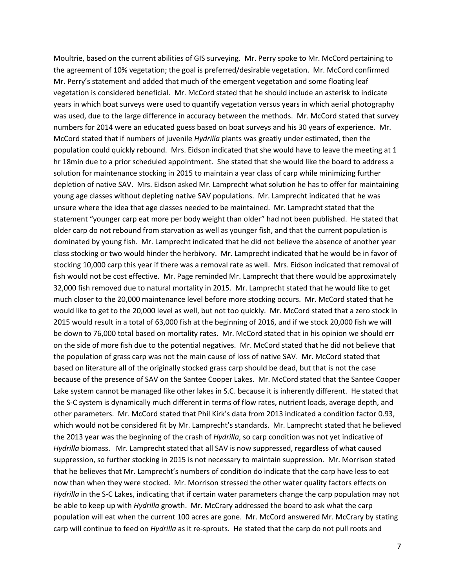Moultrie, based on the current abilities of GIS surveying. Mr. Perry spoke to Mr. McCord pertaining to the agreement of 10% vegetation; the goal is preferred/desirable vegetation. Mr. McCord confirmed Mr. Perry's statement and added that much of the emergent vegetation and some floating leaf vegetation is considered beneficial. Mr. McCord stated that he should include an asterisk to indicate years in which boat surveys were used to quantify vegetation versus years in which aerial photography was used, due to the large difference in accuracy between the methods. Mr. McCord stated that survey numbers for 2014 were an educated guess based on boat surveys and his 30 years of experience. Mr. McCord stated that if numbers of juvenile *Hydrilla* plants was greatly under estimated, then the population could quickly rebound. Mrs. Eidson indicated that she would have to leave the meeting at 1 hr 18min due to a prior scheduled appointment. She stated that she would like the board to address a solution for maintenance stocking in 2015 to maintain a year class of carp while minimizing further depletion of native SAV. Mrs. Eidson asked Mr. Lamprecht what solution he has to offer for maintaining young age classes without depleting native SAV populations. Mr. Lamprecht indicated that he was unsure where the idea that age classes needed to be maintained. Mr. Lamprecht stated that the statement "younger carp eat more per body weight than older" had not been published. He stated that older carp do not rebound from starvation as well as younger fish, and that the current population is dominated by young fish. Mr. Lamprecht indicated that he did not believe the absence of another year class stocking or two would hinder the herbivory. Mr. Lamprecht indicated that he would be in favor of stocking 10,000 carp this year if there was a removal rate as well. Mrs. Eidson indicated that removal of fish would not be cost effective. Mr. Page reminded Mr. Lamprecht that there would be approximately 32,000 fish removed due to natural mortality in 2015. Mr. Lamprecht stated that he would like to get much closer to the 20,000 maintenance level before more stocking occurs. Mr. McCord stated that he would like to get to the 20,000 level as well, but not too quickly. Mr. McCord stated that a zero stock in 2015 would result in a total of 63,000 fish at the beginning of 2016, and if we stock 20,000 fish we will be down to 76,000 total based on mortality rates. Mr. McCord stated that in his opinion we should err on the side of more fish due to the potential negatives. Mr. McCord stated that he did not believe that the population of grass carp was not the main cause of loss of native SAV. Mr. McCord stated that based on literature all of the originally stocked grass carp should be dead, but that is not the case because of the presence of SAV on the Santee Cooper Lakes. Mr. McCord stated that the Santee Cooper Lake system cannot be managed like other lakes in S.C. because it is inherently different. He stated that the S-C system is dynamically much different in terms of flow rates, nutrient loads, average depth, and other parameters. Mr. McCord stated that Phil Kirk's data from 2013 indicated a condition factor 0.93, which would not be considered fit by Mr. Lamprecht's standards. Mr. Lamprecht stated that he believed the 2013 year was the beginning of the crash of *Hydrilla*, so carp condition was not yet indicative of *Hydrilla* biomass. Mr. Lamprecht stated that all SAV is now suppressed, regardless of what caused suppression, so further stocking in 2015 is not necessary to maintain suppression. Mr. Morrison stated that he believes that Mr. Lamprecht's numbers of condition do indicate that the carp have less to eat now than when they were stocked. Mr. Morrison stressed the other water quality factors effects on *Hydrilla* in the S-C Lakes, indicating that if certain water parameters change the carp population may not be able to keep up with *Hydrilla* growth. Mr. McCrary addressed the board to ask what the carp population will eat when the current 100 acres are gone. Mr. McCord answered Mr. McCrary by stating carp will continue to feed on *Hydrilla* as it re-sprouts. He stated that the carp do not pull roots and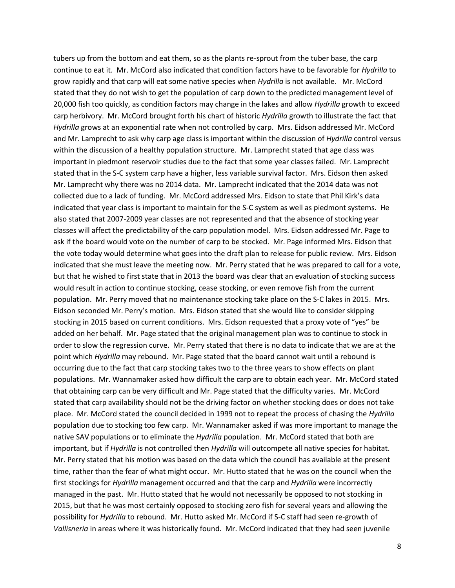tubers up from the bottom and eat them, so as the plants re-sprout from the tuber base, the carp continue to eat it. Mr. McCord also indicated that condition factors have to be favorable for *Hydrilla* to grow rapidly and that carp will eat some native species when *Hydrilla* is not available. Mr. McCord stated that they do not wish to get the population of carp down to the predicted management level of 20,000 fish too quickly, as condition factors may change in the lakes and allow *Hydrilla* growth to exceed carp herbivory. Mr. McCord brought forth his chart of historic *Hydrilla* growth to illustrate the fact that *Hydrilla* grows at an exponential rate when not controlled by carp. Mrs. Eidson addressed Mr. McCord and Mr. Lamprecht to ask why carp age class is important within the discussion of *Hydrilla* control versus within the discussion of a healthy population structure. Mr. Lamprecht stated that age class was important in piedmont reservoir studies due to the fact that some year classes failed. Mr. Lamprecht stated that in the S-C system carp have a higher, less variable survival factor. Mrs. Eidson then asked Mr. Lamprecht why there was no 2014 data. Mr. Lamprecht indicated that the 2014 data was not collected due to a lack of funding. Mr. McCord addressed Mrs. Eidson to state that Phil Kirk's data indicated that year class is important to maintain for the S-C system as well as piedmont systems. He also stated that 2007-2009 year classes are not represented and that the absence of stocking year classes will affect the predictability of the carp population model. Mrs. Eidson addressed Mr. Page to ask if the board would vote on the number of carp to be stocked. Mr. Page informed Mrs. Eidson that the vote today would determine what goes into the draft plan to release for public review. Mrs. Eidson indicated that she must leave the meeting now. Mr. Perry stated that he was prepared to call for a vote, but that he wished to first state that in 2013 the board was clear that an evaluation of stocking success would result in action to continue stocking, cease stocking, or even remove fish from the current population. Mr. Perry moved that no maintenance stocking take place on the S-C lakes in 2015. Mrs. Eidson seconded Mr. Perry's motion. Mrs. Eidson stated that she would like to consider skipping stocking in 2015 based on current conditions. Mrs. Eidson requested that a proxy vote of "yes" be added on her behalf. Mr. Page stated that the original management plan was to continue to stock in order to slow the regression curve. Mr. Perry stated that there is no data to indicate that we are at the point which *Hydrilla* may rebound. Mr. Page stated that the board cannot wait until a rebound is occurring due to the fact that carp stocking takes two to the three years to show effects on plant populations. Mr. Wannamaker asked how difficult the carp are to obtain each year. Mr. McCord stated that obtaining carp can be very difficult and Mr. Page stated that the difficulty varies. Mr. McCord stated that carp availability should not be the driving factor on whether stocking does or does not take place. Mr. McCord stated the council decided in 1999 not to repeat the process of chasing the *Hydrilla* population due to stocking too few carp. Mr. Wannamaker asked if was more important to manage the native SAV populations or to eliminate the *Hydrilla* population. Mr. McCord stated that both are important, but if *Hydrilla* is not controlled then *Hydrilla* will outcompete all native species for habitat. Mr. Perry stated that his motion was based on the data which the council has available at the present time, rather than the fear of what might occur. Mr. Hutto stated that he was on the council when the first stockings for *Hydrilla* management occurred and that the carp and *Hydrilla* were incorrectly managed in the past. Mr. Hutto stated that he would not necessarily be opposed to not stocking in 2015, but that he was most certainly opposed to stocking zero fish for several years and allowing the possibility for *Hydrilla* to rebound. Mr. Hutto asked Mr. McCord if S-C staff had seen re-growth of *Vallisneria* in areas where it was historically found. Mr. McCord indicated that they had seen juvenile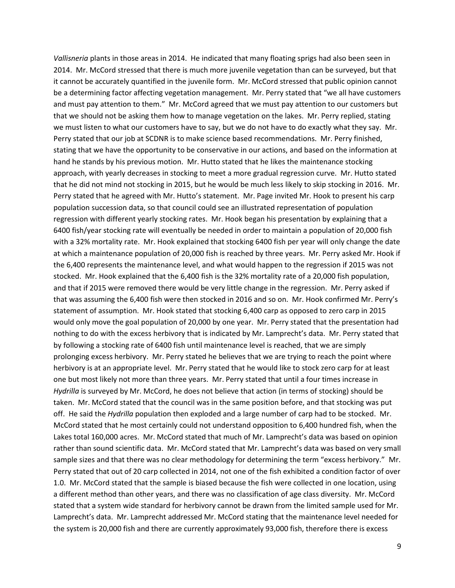*Vallisneria* plants in those areas in 2014. He indicated that many floating sprigs had also been seen in 2014. Mr. McCord stressed that there is much more juvenile vegetation than can be surveyed, but that it cannot be accurately quantified in the juvenile form. Mr. McCord stressed that public opinion cannot be a determining factor affecting vegetation management. Mr. Perry stated that "we all have customers and must pay attention to them." Mr. McCord agreed that we must pay attention to our customers but that we should not be asking them how to manage vegetation on the lakes. Mr. Perry replied, stating we must listen to what our customers have to say, but we do not have to do exactly what they say. Mr. Perry stated that our job at SCDNR is to make science based recommendations. Mr. Perry finished, stating that we have the opportunity to be conservative in our actions, and based on the information at hand he stands by his previous motion. Mr. Hutto stated that he likes the maintenance stocking approach, with yearly decreases in stocking to meet a more gradual regression curve. Mr. Hutto stated that he did not mind not stocking in 2015, but he would be much less likely to skip stocking in 2016. Mr. Perry stated that he agreed with Mr. Hutto's statement. Mr. Page invited Mr. Hook to present his carp population succession data, so that council could see an illustrated representation of population regression with different yearly stocking rates. Mr. Hook began his presentation by explaining that a 6400 fish/year stocking rate will eventually be needed in order to maintain a population of 20,000 fish with a 32% mortality rate. Mr. Hook explained that stocking 6400 fish per year will only change the date at which a maintenance population of 20,000 fish is reached by three years. Mr. Perry asked Mr. Hook if the 6,400 represents the maintenance level, and what would happen to the regression if 2015 was not stocked. Mr. Hook explained that the 6,400 fish is the 32% mortality rate of a 20,000 fish population, and that if 2015 were removed there would be very little change in the regression. Mr. Perry asked if that was assuming the 6,400 fish were then stocked in 2016 and so on. Mr. Hook confirmed Mr. Perry's statement of assumption. Mr. Hook stated that stocking 6,400 carp as opposed to zero carp in 2015 would only move the goal population of 20,000 by one year. Mr. Perry stated that the presentation had nothing to do with the excess herbivory that is indicated by Mr. Lamprecht's data. Mr. Perry stated that by following a stocking rate of 6400 fish until maintenance level is reached, that we are simply prolonging excess herbivory. Mr. Perry stated he believes that we are trying to reach the point where herbivory is at an appropriate level. Mr. Perry stated that he would like to stock zero carp for at least one but most likely not more than three years. Mr. Perry stated that until a four times increase in *Hydrilla* is surveyed by Mr. McCord, he does not believe that action (in terms of stocking) should be taken. Mr. McCord stated that the council was in the same position before, and that stocking was put off. He said the *Hydrilla* population then exploded and a large number of carp had to be stocked. Mr. McCord stated that he most certainly could not understand opposition to 6,400 hundred fish, when the Lakes total 160,000 acres. Mr. McCord stated that much of Mr. Lamprecht's data was based on opinion rather than sound scientific data. Mr. McCord stated that Mr. Lamprecht's data was based on very small sample sizes and that there was no clear methodology for determining the term "excess herbivory." Mr. Perry stated that out of 20 carp collected in 2014, not one of the fish exhibited a condition factor of over 1.0. Mr. McCord stated that the sample is biased because the fish were collected in one location, using a different method than other years, and there was no classification of age class diversity. Mr. McCord stated that a system wide standard for herbivory cannot be drawn from the limited sample used for Mr. Lamprecht's data. Mr. Lamprecht addressed Mr. McCord stating that the maintenance level needed for the system is 20,000 fish and there are currently approximately 93,000 fish, therefore there is excess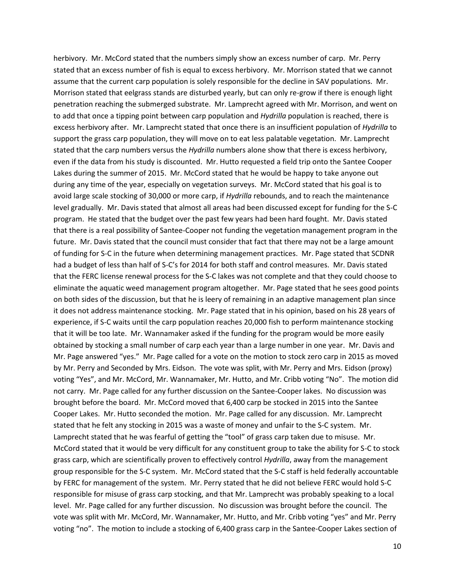herbivory. Mr. McCord stated that the numbers simply show an excess number of carp. Mr. Perry stated that an excess number of fish is equal to excess herbivory. Mr. Morrison stated that we cannot assume that the current carp population is solely responsible for the decline in SAV populations. Mr. Morrison stated that eelgrass stands are disturbed yearly, but can only re-grow if there is enough light penetration reaching the submerged substrate. Mr. Lamprecht agreed with Mr. Morrison, and went on to add that once a tipping point between carp population and *Hydrilla* population is reached, there is excess herbivory after. Mr. Lamprecht stated that once there is an insufficient population of *Hydrilla* to support the grass carp population, they will move on to eat less palatable vegetation. Mr. Lamprecht stated that the carp numbers versus the *Hydrilla* numbers alone show that there is excess herbivory, even if the data from his study is discounted. Mr. Hutto requested a field trip onto the Santee Cooper Lakes during the summer of 2015. Mr. McCord stated that he would be happy to take anyone out during any time of the year, especially on vegetation surveys. Mr. McCord stated that his goal is to avoid large scale stocking of 30,000 or more carp, if *Hydrilla* rebounds, and to reach the maintenance level gradually. Mr. Davis stated that almost all areas had been discussed except for funding for the S-C program. He stated that the budget over the past few years had been hard fought. Mr. Davis stated that there is a real possibility of Santee-Cooper not funding the vegetation management program in the future. Mr. Davis stated that the council must consider that fact that there may not be a large amount of funding for S-C in the future when determining management practices. Mr. Page stated that SCDNR had a budget of less than half of S-C's for 2014 for both staff and control measures. Mr. Davis stated that the FERC license renewal process for the S-C lakes was not complete and that they could choose to eliminate the aquatic weed management program altogether. Mr. Page stated that he sees good points on both sides of the discussion, but that he is leery of remaining in an adaptive management plan since it does not address maintenance stocking. Mr. Page stated that in his opinion, based on his 28 years of experience, if S-C waits until the carp population reaches 20,000 fish to perform maintenance stocking that it will be too late. Mr. Wannamaker asked if the funding for the program would be more easily obtained by stocking a small number of carp each year than a large number in one year. Mr. Davis and Mr. Page answered "yes." Mr. Page called for a vote on the motion to stock zero carp in 2015 as moved by Mr. Perry and Seconded by Mrs. Eidson. The vote was split, with Mr. Perry and Mrs. Eidson (proxy) voting "Yes", and Mr. McCord, Mr. Wannamaker, Mr. Hutto, and Mr. Cribb voting "No". The motion did not carry. Mr. Page called for any further discussion on the Santee-Cooper lakes. No discussion was brought before the board. Mr. McCord moved that 6,400 carp be stocked in 2015 into the Santee Cooper Lakes. Mr. Hutto seconded the motion. Mr. Page called for any discussion. Mr. Lamprecht stated that he felt any stocking in 2015 was a waste of money and unfair to the S-C system. Mr. Lamprecht stated that he was fearful of getting the "tool" of grass carp taken due to misuse. Mr. McCord stated that it would be very difficult for any constituent group to take the ability for S-C to stock grass carp, which are scientifically proven to effectively control *Hydrilla*, away from the management group responsible for the S-C system. Mr. McCord stated that the S-C staff is held federally accountable by FERC for management of the system. Mr. Perry stated that he did not believe FERC would hold S-C responsible for misuse of grass carp stocking, and that Mr. Lamprecht was probably speaking to a local level. Mr. Page called for any further discussion. No discussion was brought before the council. The vote was split with Mr. McCord, Mr. Wannamaker, Mr. Hutto, and Mr. Cribb voting "yes" and Mr. Perry voting "no". The motion to include a stocking of 6,400 grass carp in the Santee-Cooper Lakes section of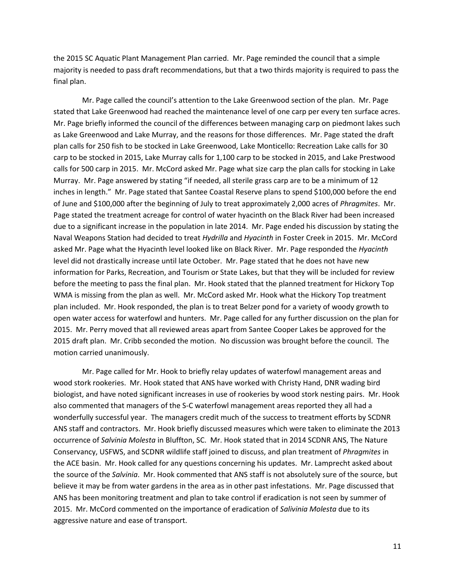the 2015 SC Aquatic Plant Management Plan carried. Mr. Page reminded the council that a simple majority is needed to pass draft recommendations, but that a two thirds majority is required to pass the final plan.

Mr. Page called the council's attention to the Lake Greenwood section of the plan. Mr. Page stated that Lake Greenwood had reached the maintenance level of one carp per every ten surface acres. Mr. Page briefly informed the council of the differences between managing carp on piedmont lakes such as Lake Greenwood and Lake Murray, and the reasons for those differences. Mr. Page stated the draft plan calls for 250 fish to be stocked in Lake Greenwood, Lake Monticello: Recreation Lake calls for 30 carp to be stocked in 2015, Lake Murray calls for 1,100 carp to be stocked in 2015, and Lake Prestwood calls for 500 carp in 2015. Mr. McCord asked Mr. Page what size carp the plan calls for stocking in Lake Murray. Mr. Page answered by stating "if needed, all sterile grass carp are to be a minimum of 12 inches in length." Mr. Page stated that Santee Coastal Reserve plans to spend \$100,000 before the end of June and \$100,000 after the beginning of July to treat approximately 2,000 acres of *Phragmites*. Mr. Page stated the treatment acreage for control of water hyacinth on the Black River had been increased due to a significant increase in the population in late 2014. Mr. Page ended his discussion by stating the Naval Weapons Station had decided to treat *Hydrilla* and *Hyacinth* in Foster Creek in 2015. Mr. McCord asked Mr. Page what the Hyacinth level looked like on Black River. Mr. Page responded the *Hyacinth* level did not drastically increase until late October. Mr. Page stated that he does not have new information for Parks, Recreation, and Tourism or State Lakes, but that they will be included for review before the meeting to pass the final plan. Mr. Hook stated that the planned treatment for Hickory Top WMA is missing from the plan as well. Mr. McCord asked Mr. Hook what the Hickory Top treatment plan included. Mr. Hook responded, the plan is to treat Belzer pond for a variety of woody growth to open water access for waterfowl and hunters. Mr. Page called for any further discussion on the plan for 2015. Mr. Perry moved that all reviewed areas apart from Santee Cooper Lakes be approved for the 2015 draft plan. Mr. Cribb seconded the motion. No discussion was brought before the council. The motion carried unanimously.

Mr. Page called for Mr. Hook to briefly relay updates of waterfowl management areas and wood stork rookeries. Mr. Hook stated that ANS have worked with Christy Hand, DNR wading bird biologist, and have noted significant increases in use of rookeries by wood stork nesting pairs. Mr. Hook also commented that managers of the S-C waterfowl management areas reported they all had a wonderfully successful year. The managers credit much of the success to treatment efforts by SCDNR ANS staff and contractors. Mr. Hook briefly discussed measures which were taken to eliminate the 2013 occurrence of *Salvinia Molesta* in Bluffton, SC. Mr. Hook stated that in 2014 SCDNR ANS, The Nature Conservancy, USFWS, and SCDNR wildlife staff joined to discuss, and plan treatment of *Phragmites* in the ACE basin. Mr. Hook called for any questions concerning his updates. Mr. Lamprecht asked about the source of the *Salvinia*. Mr. Hook commented that ANS staff is not absolutely sure of the source, but believe it may be from water gardens in the area as in other past infestations. Mr. Page discussed that ANS has been monitoring treatment and plan to take control if eradication is not seen by summer of 2015. Mr. McCord commented on the importance of eradication of *Salivinia Molesta* due to its aggressive nature and ease of transport.